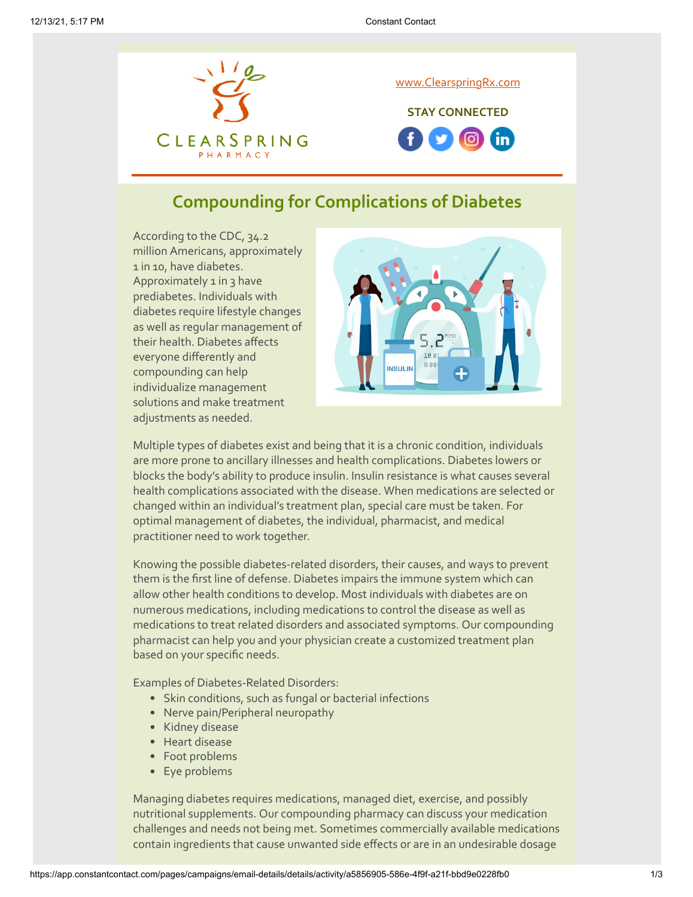

## **Compounding for Complications of Diabetes**

According to the CDC, 34.2 million Americans, approximately 1 in 10, have diabetes. Approximately 1 in 3 have prediabetes. Individuals with diabetes require lifestyle changes as well as regular management of their health. Diabetes affects everyone differently and compounding can help individualize management solutions and make treatment adjustments as needed.



Multiple types of diabetes exist and being that it is a chronic condition, individuals are more prone to ancillary illnesses and health complications. Diabetes lowers or blocks the body's ability to produce insulin. Insulin resistance is what causes several health complications associated with the disease. When medications are selected or changed within an individual's treatment plan, special care must be taken. For optimal management of diabetes, the individual, pharmacist, and medical practitioner need to work together.

Knowing the possible diabetes-related disorders, their causes, and ways to prevent them is the first line of defense. Diabetes impairs the immune system which can allow other health conditions to develop. Most individuals with diabetes are on numerous medications, including medications to control the disease as well as medications to treat related disorders and associated symptoms. Our compounding pharmacist can help you and your physician create a customized treatment plan based on your specific needs.

Examples of Diabetes-Related Disorders:

- Skin conditions, such as fungal or bacterial infections
- Nerve pain/Peripheral neuropathy
- Kidney disease
- Heart disease
- Foot problems
- Eye problems

Managing diabetes requires medications, managed diet, exercise, and possibly nutritional supplements. Our compounding pharmacy can discuss your medication challenges and needs not being met. Sometimes commercially available medications contain ingredients that cause unwanted side effects or are in an undesirable dosage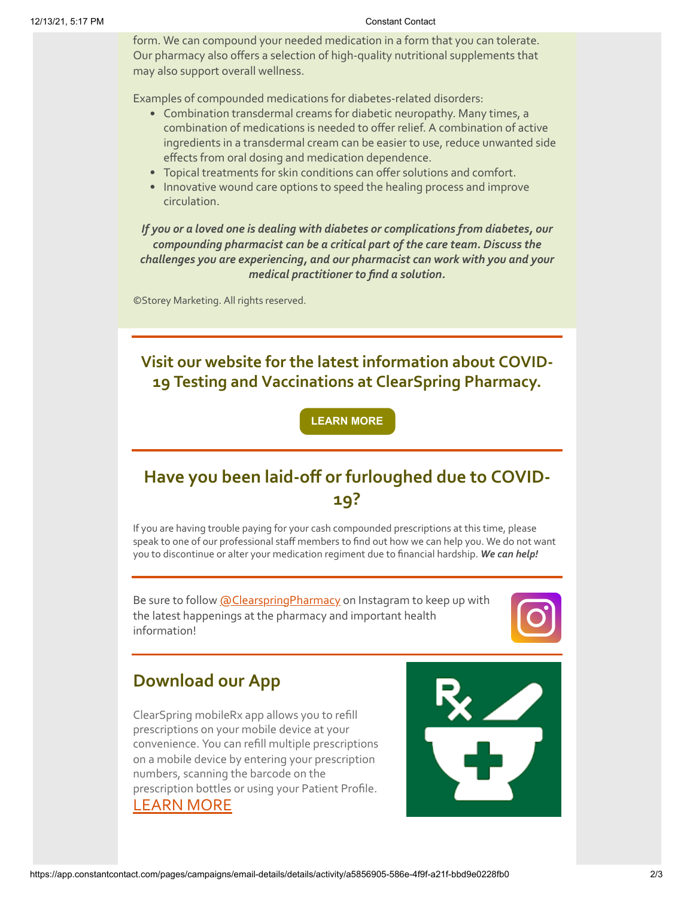form. We can compound your needed medication in a form that you can tolerate. Our pharmacy also offers a selection of high-quality nutritional supplements that may also support overall wellness.

Examples of compounded medications for diabetes-related disorders:

- Combination transdermal creams for diabetic neuropathy. Many times, a combination of medications is needed to offer relief. A combination of active ingredients in a transdermal cream can be easier to use, reduce unwanted side effects from oral dosing and medication dependence.
- Topical treatments for skin conditions can offer solutions and comfort.
- Innovative wound care options to speed the healing process and improve circulation.

*If you or a loved one is dealing with diabetes or complications from diabetes, our compounding pharmacist can be a critical part of the care team. Discuss the challenges you are experiencing, and our pharmacist can work with you and your medical practitioner to find a solution.*

©Storey Marketing. All rights reserved.

**Visit our website for the latest information about COVID-19 Testing and Vaccinations at ClearSpring Pharmacy.**

**[LEARN MORE](https://clearspringrx.com/covid-19.php)**

# **Have you been laid-off or furloughed due to COVID-19?**

If you are having trouble paying for your cash compounded prescriptions at this time, please speak to one of our professional staff members to find out how we can help you. We do not want you to discontinue or alter your medication regiment due to financial hardship. *We can help!*

Be sure to follow [@ClearspringPharmacy](https://www.instagram.com/clearspringpharmacy/) on Instagram to keep up with the latest happenings at the pharmacy and important health information!



## **Download our App**

ClearSpring mobileRx app allows you to refill prescriptions on your mobile device at your convenience. You can refill multiple prescriptions on a mobile device by entering your prescription numbers, scanning the barcode on the prescription bottles or using your Patient Profile. [LEARN MORE](https://clearspringrx.com/app.php)